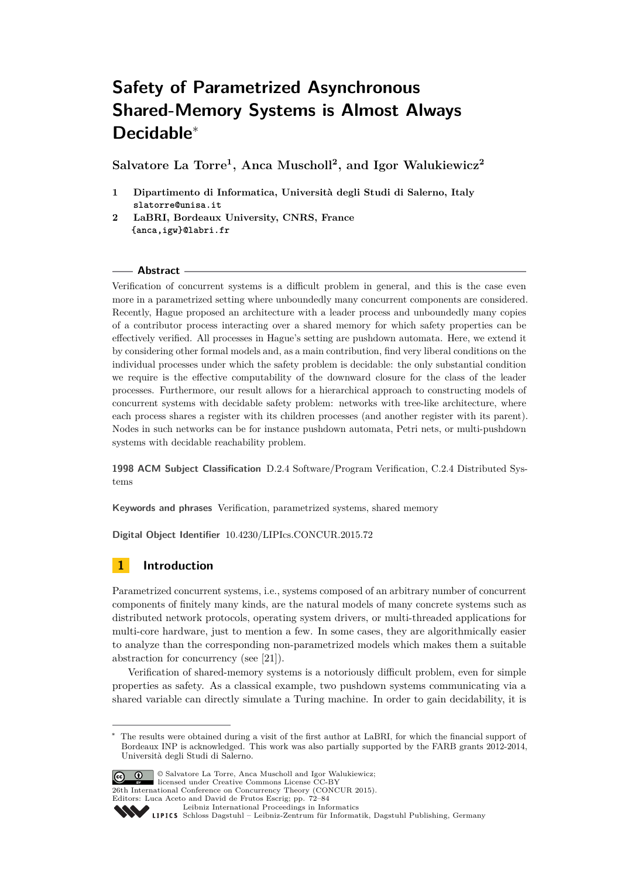# **Safety of Parametrized Asynchronous Shared-Memory Systems is Almost Always Decidable**<sup>∗</sup>

**Salvatore La Torre<sup>1</sup> , Anca Muscholl<sup>2</sup> , and Igor Walukiewicz<sup>2</sup>**

- **1 Dipartimento di Informatica, Università degli Studi di Salerno, Italy slatorre@unisa.it**
- **2 LaBRI, Bordeaux University, CNRS, France {anca,igw}@labri.fr**

## **Abstract**

Verification of concurrent systems is a difficult problem in general, and this is the case even more in a parametrized setting where unboundedly many concurrent components are considered. Recently, Hague proposed an architecture with a leader process and unboundedly many copies of a contributor process interacting over a shared memory for which safety properties can be effectively verified. All processes in Hague's setting are pushdown automata. Here, we extend it by considering other formal models and, as a main contribution, find very liberal conditions on the individual processes under which the safety problem is decidable: the only substantial condition we require is the effective computability of the downward closure for the class of the leader processes. Furthermore, our result allows for a hierarchical approach to constructing models of concurrent systems with decidable safety problem: networks with tree-like architecture, where each process shares a register with its children processes (and another register with its parent). Nodes in such networks can be for instance pushdown automata, Petri nets, or multi-pushdown systems with decidable reachability problem.

**1998 ACM Subject Classification** D.2.4 Software/Program Verification, C.2.4 Distributed Systems

**Keywords and phrases** Verification, parametrized systems, shared memory

**Digital Object Identifier** [10.4230/LIPIcs.CONCUR.2015.72](http://dx.doi.org/10.4230/LIPIcs.CONCUR.2015.72)

# **1 Introduction**

Parametrized concurrent systems, i.e., systems composed of an arbitrary number of concurrent components of finitely many kinds, are the natural models of many concrete systems such as distributed network protocols, operating system drivers, or multi-threaded applications for multi-core hardware, just to mention a few. In some cases, they are algorithmically easier to analyze than the corresponding non-parametrized models which makes them a suitable abstraction for concurrency (see [\[21\]](#page-12-0)).

Verification of shared-memory systems is a notoriously difficult problem, even for simple properties as safety. As a classical example, two pushdown systems communicating via a shared variable can directly simulate a Turing machine. In order to gain decidability, it is

The results were obtained during a visit of the first author at LaBRI, for which the financial support of Bordeaux INP is acknowledged. This work was also partially supported by the FARB grants 2012-2014, Università degli Studi di Salerno.



<sup>©</sup> Salvatore La Torre, Anca Muscholl and Igor Walukiewicz; licensed under Creative Commons License CC-BY 26th International Conference on Concurrency Theory (CONCUR 2015).

Editors: Luca Aceto and David de Frutos Escrig; pp. 72[–84](#page-12-1)

[Leibniz International Proceedings in Informatics](http://www.dagstuhl.de/lipics/) Leibniz international Froceedings in informatik, Dagstuhl Publishing, Germany<br>LIPICS [Schloss Dagstuhl – Leibniz-Zentrum für Informatik, Dagstuhl Publishing, Germany](http://www.dagstuhl.de)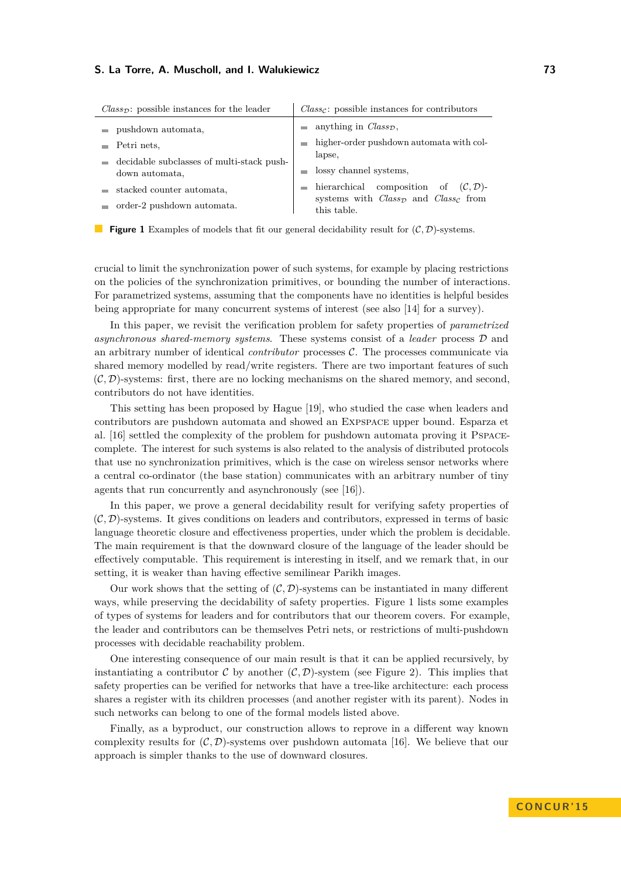<span id="page-1-0"></span>

| $Class_{\mathcal{D}}$ : possible instances for the leader                                                                                                   | $Class_{\mathcal{C}}$ : possible instances for contributors                                                                                                                                                                                                                                                  |
|-------------------------------------------------------------------------------------------------------------------------------------------------------------|--------------------------------------------------------------------------------------------------------------------------------------------------------------------------------------------------------------------------------------------------------------------------------------------------------------|
| pushdown automata,<br>Petri nets.<br>decidable subclasses of multi-stack push-<br>down automata,<br>stacked counter automata,<br>order-2 pushdown automata. | anything in $Class_{\mathcal{D}}$ ,<br><b>COL</b><br>higher-order pushdown automata with col-<br><b>College</b><br>lapse,<br>lossy channel systems,<br>hierarchical composition of<br>$(C, \mathcal{D})$ -<br><b>COL</b><br>systems with $Class_{\mathcal{D}}$ and $Class_{\mathcal{C}}$ from<br>this table. |

**Figure 1** Examples of models that fit our general decidability result for  $(C, \mathcal{D})$ -systems.

crucial to limit the synchronization power of such systems, for example by placing restrictions on the policies of the synchronization primitives, or bounding the number of interactions. For parametrized systems, assuming that the components have no identities is helpful besides being appropriate for many concurrent systems of interest (see also [\[14\]](#page-12-2) for a survey).

In this paper, we revisit the verification problem for safety properties of *parametrized asynchronous shared-memory systems*. These systems consist of a *leader* process D and an arbitrary number of identical *contributor* processes C. The processes communicate via shared memory modelled by read/write registers. There are two important features of such  $(C, \mathcal{D})$ -systems: first, there are no locking mechanisms on the shared memory, and second, contributors do not have identities.

This setting has been proposed by Hague [\[19\]](#page-12-3), who studied the case when leaders and contributors are pushdown automata and showed an Expspace upper bound. Esparza et al. [\[16\]](#page-12-4) settled the complexity of the problem for pushdown automata proving it Pspacecomplete. The interest for such systems is also related to the analysis of distributed protocols that use no synchronization primitives, which is the case on wireless sensor networks where a central co-ordinator (the base station) communicates with an arbitrary number of tiny agents that run concurrently and asynchronously (see [\[16\]](#page-12-4)).

In this paper, we prove a general decidability result for verifying safety properties of (C*,* D)-systems. It gives conditions on leaders and contributors, expressed in terms of basic language theoretic closure and effectiveness properties, under which the problem is decidable. The main requirement is that the downward closure of the language of the leader should be effectively computable. This requirement is interesting in itself, and we remark that, in our setting, it is weaker than having effective semilinear Parikh images.

Our work shows that the setting of  $(C, \mathcal{D})$ -systems can be instantiated in many different ways, while preserving the decidability of safety properties. Figure [1](#page-1-0) lists some examples of types of systems for leaders and for contributors that our theorem covers. For example, the leader and contributors can be themselves Petri nets, or restrictions of multi-pushdown processes with decidable reachability problem.

One interesting consequence of our main result is that it can be applied recursively, by instantiating a contributor C by another  $(C, \mathcal{D})$ -system (see Figure [2\)](#page-2-0). This implies that safety properties can be verified for networks that have a tree-like architecture: each process shares a register with its children processes (and another register with its parent). Nodes in such networks can belong to one of the formal models listed above.

Finally, as a byproduct, our construction allows to reprove in a different way known complexity results for  $(C, \mathcal{D})$ -systems over pushdown automata [\[16\]](#page-12-4). We believe that our approach is simpler thanks to the use of downward closures.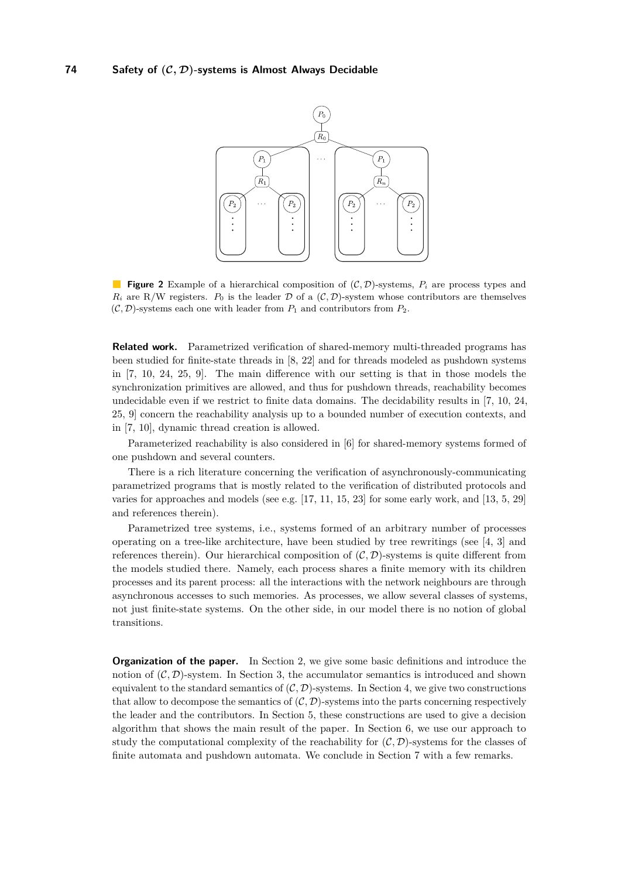<span id="page-2-0"></span>

**Figure 2** Example of a hierarchical composition of (C*,* D)-systems, *P<sup>i</sup>* are process types and  $R_i$  are R/W registers.  $P_0$  is the leader  $D$  of a  $(C, D)$ -system whose contributors are themselves  $(C, \mathcal{D})$ -systems each one with leader from  $P_1$  and contributors from  $P_2$ .

**Related work.** Parametrized verification of shared-memory multi-threaded programs has been studied for finite-state threads in [\[8,](#page-12-5) [22\]](#page-12-6) and for threads modeled as pushdown systems in [\[7,](#page-11-0) [10,](#page-12-7) [24,](#page-12-8) [25,](#page-12-9) [9\]](#page-12-10). The main difference with our setting is that in those models the synchronization primitives are allowed, and thus for pushdown threads, reachability becomes undecidable even if we restrict to finite data domains. The decidability results in [\[7,](#page-11-0) [10,](#page-12-7) [24,](#page-12-8) [25,](#page-12-9) [9\]](#page-12-10) concern the reachability analysis up to a bounded number of execution contexts, and in [\[7,](#page-11-0) [10\]](#page-12-7), dynamic thread creation is allowed.

Parameterized reachability is also considered in [\[6\]](#page-11-1) for shared-memory systems formed of one pushdown and several counters.

There is a rich literature concerning the verification of asynchronously-communicating parametrized programs that is mostly related to the verification of distributed protocols and varies for approaches and models (see e.g. [\[17,](#page-12-11) [11,](#page-12-12) [15,](#page-12-13) [23\]](#page-12-14) for some early work, and [\[13,](#page-12-15) [5,](#page-11-2) [29\]](#page-12-16) and references therein).

Parametrized tree systems, i.e., systems formed of an arbitrary number of processes operating on a tree-like architecture, have been studied by tree rewritings (see [\[4,](#page-11-3) [3\]](#page-11-4) and references therein). Our hierarchical composition of  $(C, \mathcal{D})$ -systems is quite different from the models studied there. Namely, each process shares a finite memory with its children processes and its parent process: all the interactions with the network neighbours are through asynchronous accesses to such memories. As processes, we allow several classes of systems, not just finite-state systems. On the other side, in our model there is no notion of global transitions.

**Organization of the paper.** In Section 2, we give some basic definitions and introduce the notion of  $(C, D)$ -system. In Section 3, the accumulator semantics is introduced and shown equivalent to the standard semantics of  $(C, \mathcal{D})$ -systems. In Section 4, we give two constructions that allow to decompose the semantics of  $(C, \mathcal{D})$ -systems into the parts concerning respectively the leader and the contributors. In Section 5, these constructions are used to give a decision algorithm that shows the main result of the paper. In Section 6, we use our approach to study the computational complexity of the reachability for  $(C, \mathcal{D})$ -systems for the classes of finite automata and pushdown automata. We conclude in Section 7 with a few remarks.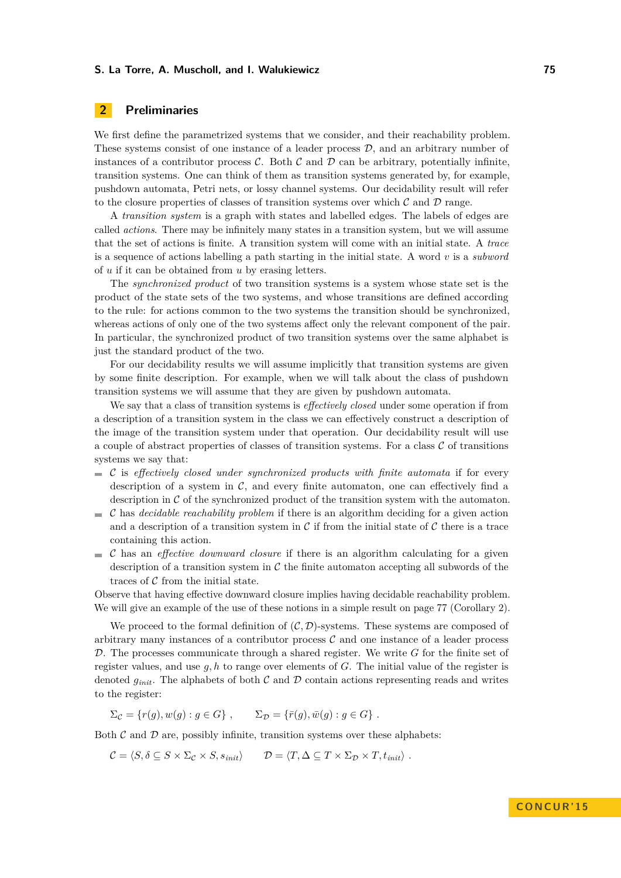# <span id="page-3-0"></span>**2 Preliminaries**

We first define the parametrized systems that we consider, and their reachability problem. These systems consist of one instance of a leader process  $D$ , and an arbitrary number of instances of a contributor process  $\mathcal{C}$ . Both  $\mathcal{C}$  and  $\mathcal{D}$  can be arbitrary, potentially infinite, transition systems. One can think of them as transition systems generated by, for example, pushdown automata, Petri nets, or lossy channel systems. Our decidability result will refer to the closure properties of classes of transition systems over which  $\mathcal C$  and  $\mathcal D$  range.

A *transition system* is a graph with states and labelled edges. The labels of edges are called *actions*. There may be infinitely many states in a transition system, but we will assume that the set of actions is finite. A transition system will come with an initial state. A *trace* is a sequence of actions labelling a path starting in the initial state. A word *v* is a *subword* of *u* if it can be obtained from *u* by erasing letters.

The *synchronized product* of two transition systems is a system whose state set is the product of the state sets of the two systems, and whose transitions are defined according to the rule: for actions common to the two systems the transition should be synchronized, whereas actions of only one of the two systems affect only the relevant component of the pair. In particular, the synchronized product of two transition systems over the same alphabet is just the standard product of the two.

For our decidability results we will assume implicitly that transition systems are given by some finite description. For example, when we will talk about the class of pushdown transition systems we will assume that they are given by pushdown automata.

We say that a class of transition systems is *effectively closed* under some operation if from a description of a transition system in the class we can effectively construct a description of the image of the transition system under that operation. Our decidability result will use a couple of abstract properties of classes of transition systems. For a class  $\mathcal C$  of transitions systems we say that:

- $\blacksquare$  C is *effectively closed under synchronized products with finite automata* if for every description of a system in  $\mathcal{C}$ , and every finite automaton, one can effectively find a description in  $\mathcal C$  of the synchronized product of the transition system with the automaton.
- C has *decidable reachability problem* if there is an algorithm deciding for a given action  $\mathcal{L}_{\mathcal{A}}$ and a description of a transition system in C if from the initial state of C there is a trace containing this action.
- C has an *effective downward closure* if there is an algorithm calculating for a given description of a transition system in  $\mathcal C$  the finite automaton accepting all subwords of the traces of  $C$  from the initial state.

Observe that having effective downward closure implies having decidable reachability problem. We will give an example of the use of these notions in a simple result on page [77](#page-5-0) (Corollary [2\)](#page-5-0).

We proceed to the formal definition of  $(C, \mathcal{D})$ -systems. These systems are composed of arbitrary many instances of a contributor process  $\mathcal C$  and one instance of a leader process D. The processes communicate through a shared register. We write *G* for the finite set of register values, and use *g, h* to range over elements of *G*. The initial value of the register is denoted  $g_{init}$ . The alphabets of both C and D contain actions representing reads and writes to the register:

 $\Sigma_c = \{r(q), w(q) : q \in G\}$ ,  $\Sigma_{\mathcal{D}} = \{\bar{r}(q), \bar{w}(q) : q \in G\}$ .

Both  $\mathcal C$  and  $\mathcal D$  are, possibly infinite, transition systems over these alphabets:

 $\mathcal{C} = \langle S, \delta \subseteq S \times \Sigma_C \times S, s_{init} \rangle$   $\mathcal{D} = \langle T, \Delta \subseteq T \times \Sigma_D \times T, t_{init} \rangle$ .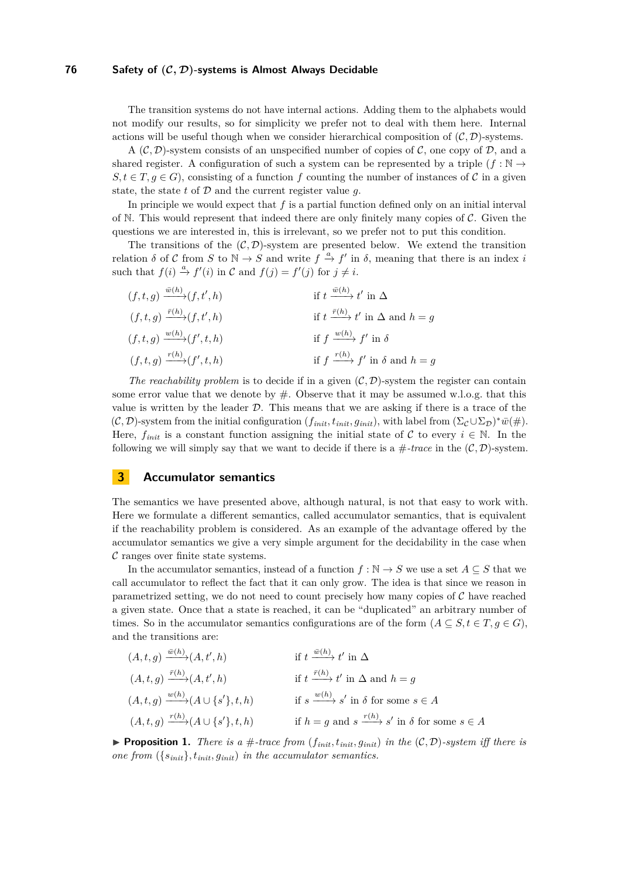## **76 Safety of (C***,* **D)-systems is Almost Always Decidable**

The transition systems do not have internal actions. Adding them to the alphabets would not modify our results, so for simplicity we prefer not to deal with them here. Internal actions will be useful though when we consider hierarchical composition of  $(C, \mathcal{D})$ -systems.

A  $(C, \mathcal{D})$ -system consists of an unspecified number of copies of C, one copy of D, and a shared register. A configuration of such a system can be represented by a triple  $(f : \mathbb{N} \to$  $S, t \in T, q \in G$ , consisting of a function f counting the number of instances of C in a given state, the state  $t$  of  $D$  and the current register value  $q$ .

In principle we would expect that  $f$  is a partial function defined only on an initial interval of N. This would represent that indeed there are only finitely many copies of  $\mathcal{C}$ . Given the questions we are interested in, this is irrelevant, so we prefer not to put this condition.

The transitions of the  $(C, \mathcal{D})$ -system are presented below. We extend the transition relation  $\delta$  of  $\mathcal C$  from  $S$  to  $\mathbb N \to S$  and write  $f \stackrel{a}{\to} f'$  in  $\delta$ , meaning that there is an index *i* such that  $f(i) \stackrel{a}{\rightarrow} f'(i)$  in C and  $f(j) = f'(j)$  for  $j \neq i$ .

| $(f, t, g) \xrightarrow{\bar{w}(h)} (f, t', h)$ | if $t \xrightarrow{\bar{w}(h)} t'$ in $\Delta$             |
|-------------------------------------------------|------------------------------------------------------------|
| $(f, t, g) \xrightarrow{\bar{r}(h)} (f, t', h)$ | if $t \xrightarrow{\bar{r}(h)} t'$ in $\Delta$ and $h = g$ |
| $(f, t, g) \xrightarrow{w(h)} (f', t, h)$       | if $f \xrightarrow{w(h)} f'$ in $\delta$                   |
| $(f, t, g) \xrightarrow{r(h)} (f', t, h)$       | if $f \xrightarrow{r(h)} f'$ in $\delta$ and $h = g$       |

*The reachability problem* is to decide if in a given  $(C, D)$ -system the register can contain some error value that we denote by  $\#$ . Observe that it may be assumed w.l.o.g. that this value is written by the leader  $D$ . This means that we are asking if there is a trace of the  $(C, \mathcal{D})$ -system from the initial configuration  $(f_{init}, t_{init}, g_{init})$ , with label from  $(\Sigma_C \cup \Sigma_{\mathcal{D}})^* \overline{w}(\#)$ . Here,  $f_{init}$  is a constant function assigning the initial state of C to every  $i \in \mathbb{N}$ . In the following we will simply say that we want to decide if there is a  $\#-trace$  in the  $(\mathcal{C}, \mathcal{D})$ -system.

# **3 Accumulator semantics**

The semantics we have presented above, although natural, is not that easy to work with. Here we formulate a different semantics, called accumulator semantics, that is equivalent if the reachability problem is considered. As an example of the advantage offered by the accumulator semantics we give a very simple argument for the decidability in the case when  $\mathcal C$  ranges over finite state systems.

In the accumulator semantics, instead of a function  $f : \mathbb{N} \to S$  we use a set  $A \subseteq S$  that we call accumulator to reflect the fact that it can only grow. The idea is that since we reason in parametrized setting, we do not need to count precisely how many copies of  $\mathcal C$  have reached a given state. Once that a state is reached, it can be "duplicated" an arbitrary number of times. So in the accumulator semantics configurations are of the form  $(A \subseteq S, t \in T, g \in G)$ , and the transitions are:

| $(A, t, g) \xrightarrow{\bar{w}(h)} (A, t', h)$      | if $t \xrightarrow{\bar{w}(h)} t'$ in $\Delta$                          |
|------------------------------------------------------|-------------------------------------------------------------------------|
| $(A, t, g) \xrightarrow{\bar{r}(h)} (A, t', h)$      | if $t \xrightarrow{\bar{r}(h)} t'$ in $\Delta$ and $h = g$              |
| $(A, t, g) \xrightarrow{w(h)} (A \cup \{s'\}, t, h)$ | if $s \xrightarrow{w(h)} s'$ in $\delta$ for some $s \in A$             |
| $(A, t, g) \xrightarrow{r(h)} (A \cup \{s'\}, t, h)$ | if $h = g$ and $s \xrightarrow{r(h)} s'$ in $\delta$ for some $s \in A$ |

<span id="page-4-0"></span>**Proposition 1.** *There is a*  $\#$ *-trace from*  $(f_{init}, t_{init}, g_{init})$  *in the*  $(C, D)$ *-system iff there is one from* ({*sinit*}*, tinit, ginit*) *in the accumulator semantics.*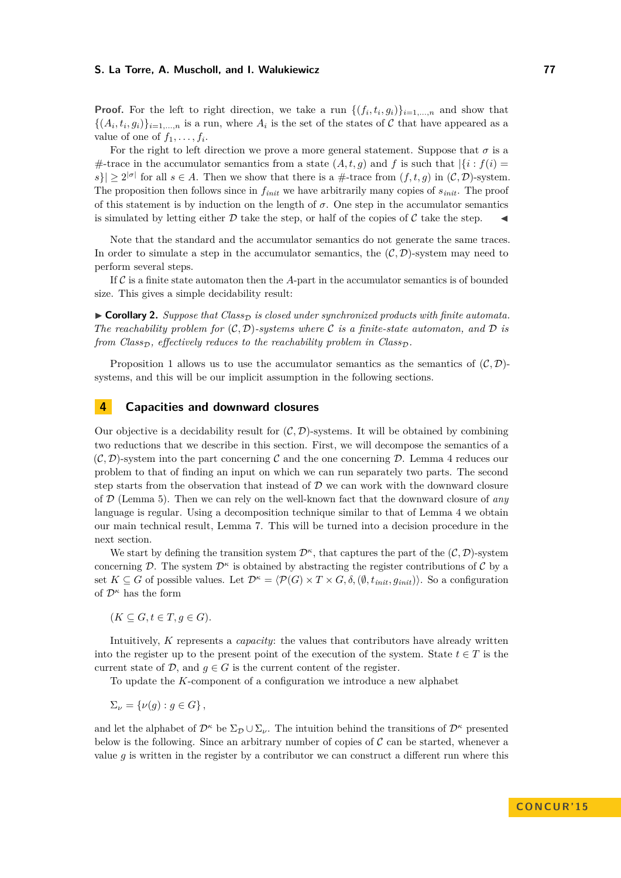**Proof.** For the left to right direction, we take a run  $\{(f_i, t_i, g_i)\}_{i=1,\dots,n}$  and show that  $\{(A_i, t_i, g_i)\}_{i=1,\dots,n}$  is a run, where  $A_i$  is the set of the states of C that have appeared as a value of one of  $f_1, \ldots, f_i$ .

For the right to left direction we prove a more general statement. Suppose that  $\sigma$  is a #-trace in the accumulator semantics from a state  $(A, t, g)$  and f is such that  $\left|\left\{i : f(i)\right.\right\}$  $|s|\geq 2^{|\sigma|}$  for all  $s\in A$ . Then we show that there is a #-trace from  $(f, t, g)$  in  $(C, \mathcal{D})$ -system. The proposition then follows since in *finit* we have arbitrarily many copies of *sinit*. The proof of this statement is by induction on the length of  $\sigma$ . One step in the accumulator semantics is simulated by letting either D take the step, or half of the copies of C take the step.

Note that the standard and the accumulator semantics do not generate the same traces. In order to simulate a step in the accumulator semantics, the  $(C, \mathcal{D})$ -system may need to perform several steps.

If  $\mathcal C$  is a finite state automaton then the  $A$ -part in the accumulator semantics is of bounded size. This gives a simple decidability result:

<span id="page-5-0"></span> $\triangleright$  **Corollary 2.** *Suppose that Class<sub>D</sub> is closed under synchronized products with finite automata. The reachability problem for*  $(C, D)$ *-systems where* C *is a finite-state automaton, and* D *is from Class<sub>D</sub>*, *effectively reduces to the reachability problem in Class<sub>D</sub>.* 

Proposition [1](#page-4-0) allows us to use the accumulator semantics as the semantics of  $(C, \mathcal{D})$ systems, and this will be our implicit assumption in the following sections.

# <span id="page-5-1"></span>**4 Capacities and downward closures**

Our objective is a decidability result for  $(C, \mathcal{D})$ -systems. It will be obtained by combining two reductions that we describe in this section. First, we will decompose the semantics of a  $(C, \mathcal{D})$ -system into the part concerning C and the one concerning D. Lemma [4](#page-7-0) reduces our problem to that of finding an input on which we can run separately two parts. The second step starts from the observation that instead of  $D$  we can work with the downward closure of D (Lemma [5\)](#page-7-1). Then we can rely on the well-known fact that the downward closure of *any* language is regular. Using a decomposition technique similar to that of Lemma [4](#page-7-0) we obtain our main technical result, Lemma [7.](#page-7-2) This will be turned into a decision procedure in the next section.

We start by defining the transition system  $\mathcal{D}^{\kappa}$ , that captures the part of the  $(\mathcal{C}, \mathcal{D})$ -system concerning  $\mathcal{D}$ . The system  $\mathcal{D}^{\kappa}$  is obtained by abstracting the register contributions of  $\mathcal{C}$  by a set  $K \subseteq G$  of possible values. Let  $\mathcal{D}^{\kappa} = \langle \mathcal{P}(G) \times T \times G, \delta, (\emptyset, t_{init}, g_{init}) \rangle$ . So a configuration of D*<sup>κ</sup>* has the form

 $(K \subseteq G, t \in T, g \in G)$ .

Intuitively, *K* represents a *capacity*: the values that contributors have already written into the register up to the present point of the execution of the system. State  $t \in T$  is the current state of  $D$ , and  $q \in G$  is the current content of the register.

To update the *K*-component of a configuration we introduce a new alphabet

 $\Sigma_{\nu} = {\nu(q) : q \in G},$ 

and let the alphabet of  $\mathcal{D}^{\kappa}$  be  $\Sigma_{\mathcal{D}} \cup \Sigma_{\nu}$ . The intuition behind the transitions of  $\mathcal{D}^{\kappa}$  presented below is the following. Since an arbitrary number of copies of  $\mathcal C$  can be started, whenever a value *g* is written in the register by a contributor we can construct a different run where this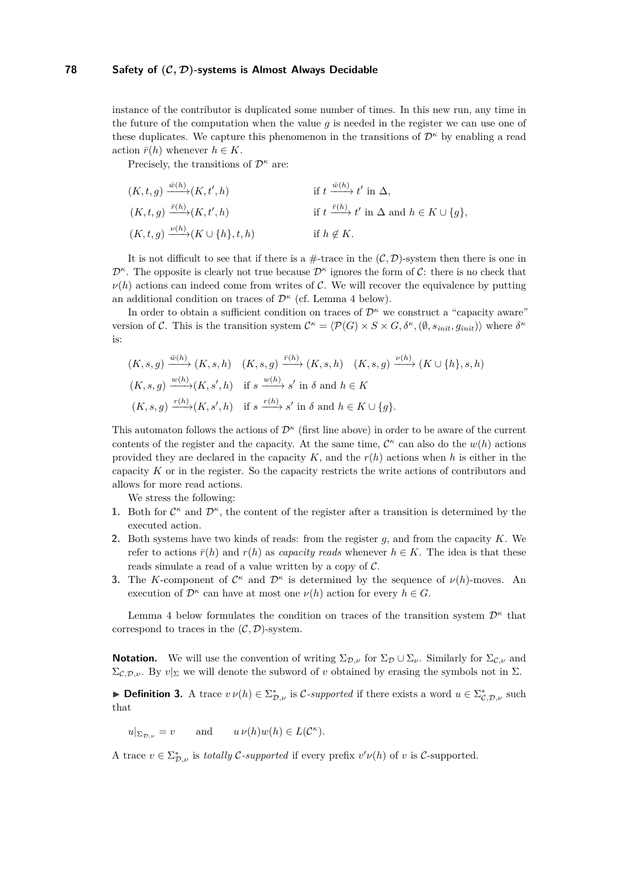instance of the contributor is duplicated some number of times. In this new run, any time in the future of the computation when the value *g* is needed in the register we can use one of these duplicates. We capture this phenomenon in the transitions of  $\mathcal{D}^{\kappa}$  by enabling a read action  $\bar{r}(h)$  whenever  $h \in K$ .

Precisely, the transitions of D*<sup>κ</sup>* are:

$$
(K, t, g) \xrightarrow{\bar{w}(h)} (K, t', h) \qquad \text{if } t \xrightarrow{\bar{w}(h)} t' \text{ in } \Delta,
$$
  
\n
$$
(K, t, g) \xrightarrow{\bar{r}(h)} (K, t', h) \qquad \text{if } t \xrightarrow{\bar{r}(h)} t' \text{ in } \Delta \text{ and } h \in K \cup \{g\},
$$
  
\n
$$
(K, t, g) \xrightarrow{\nu(h)} (K \cup \{h\}, t, h) \qquad \text{if } h \notin K.
$$

It is not difficult to see that if there is a  $\#$ -trace in the  $(C, \mathcal{D})$ -system then there is one in  $\mathcal{D}^{\kappa}$ . The opposite is clearly not true because  $\mathcal{D}^{\kappa}$  ignores the form of C: there is no check that  $\nu(h)$  actions can indeed come from writes of C. We will recover the equivalence by putting an additional condition on traces of  $\mathcal{D}^{\kappa}$  (cf. Lemma [4](#page-7-0) below).

In order to obtain a sufficient condition on traces of D*<sup>κ</sup>* we construct a "capacity aware" version of C. This is the transition system  $\mathcal{C}^{\kappa} = \langle \mathcal{P}(G) \times S \times G, \delta^{\kappa}, (\emptyset, s_{init}, g_{init}) \rangle$  where  $\delta^{\kappa}$ is:

$$
(K, s, g) \xrightarrow{\bar{w}(h)} (K, s, h) \quad (K, s, g) \xrightarrow{\bar{r}(h)} (K, s, h) \quad (K, s, g) \xrightarrow{\nu(h)} (K \cup \{h\}, s, h)
$$
  

$$
(K, s, g) \xrightarrow{w(h)} (K, s', h) \text{ if } s \xrightarrow{w(h)} s' \text{ in } \delta \text{ and } h \in K
$$
  

$$
(K, s, g) \xrightarrow{r(h)} (K, s', h) \text{ if } s \xrightarrow{r(h)} s' \text{ in } \delta \text{ and } h \in K \cup \{g\}.
$$

This automaton follows the actions of  $\mathcal{D}^{\kappa}$  (first line above) in order to be aware of the current contents of the register and the capacity. At the same time,  $\mathcal{C}^{\kappa}$  can also do the  $w(h)$  actions provided they are declared in the capacity *K*, and the *r*(*h*) actions when *h* is either in the capacity *K* or in the register. So the capacity restricts the write actions of contributors and allows for more read actions.

We stress the following:

- **1.** Both for  $\mathcal{C}^{\kappa}$  and  $\mathcal{D}^{\kappa}$ , the content of the register after a transition is determined by the executed action.
- **2.** Both systems have two kinds of reads: from the register *g*, and from the capacity *K*. We refer to actions  $\bar{r}(h)$  and  $r(h)$  as *capacity reads* whenever  $h \in K$ . The idea is that these reads simulate a read of a value written by a copy of  $C$ .
- <span id="page-6-0"></span>**3.** The *K*-component of  $\mathcal{C}^{\kappa}$  and  $\mathcal{D}^{\kappa}$  is determined by the sequence of  $\nu(h)$ -moves. An execution of  $\mathcal{D}^{\kappa}$  can have at most one  $\nu(h)$  action for every  $h \in G$ .

Lemma [4](#page-7-0) below formulates the condition on traces of the transition system  $\mathcal{D}^{\kappa}$  that correspond to traces in the  $(C, \mathcal{D})$ -system.

**Notation.** We will use the convention of writing  $\Sigma_{\mathcal{D},\nu}$  for  $\Sigma_{\mathcal{D}} \cup \Sigma_{\nu}$ . Similarly for  $\Sigma_{\mathcal{C},\nu}$  and  $\Sigma_{\mathcal{C},\mathcal{D},\nu}$ . By  $v|_{\Sigma}$  we will denote the subword of *v* obtained by erasing the symbols not in  $\Sigma$ .

**► Definition 3.** A trace  $v \nu(h) \in \sum_{\mathcal{D},\nu}^*$  is C-supported if there exists a word  $u \in \sum_{\mathcal{C},\mathcal{D},\nu}^*$  such that

 $u|_{\Sigma_{\mathcal{D},\nu}} = v$  and  $u \nu(h)w(h) \in L(\mathcal{C}^{\kappa}).$ 

A trace  $v \in \sum_{\mathcal{D},\nu}^*$  is *totally* C-supported if every prefix  $v'\nu(h)$  of *v* is C-supported.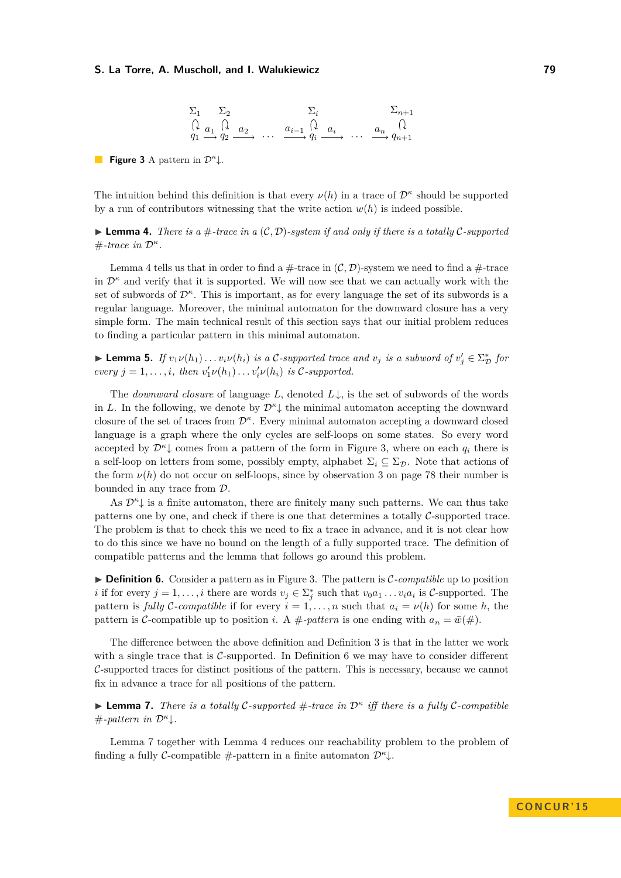$$
\Sigma_1 \quad \Sigma_2 \quad \Sigma_i \quad \Sigma_{n+1}
$$
\n
$$
\begin{array}{ccc}\n\Omega & \Omega & \Omega_{n+1} \\
\Omega & \Omega_1 & \Omega_2 & \Omega_2 \\
q_1 & \to q_2 & \end{array} \dots \quad \begin{array}{ccc}\n\Omega_{i-1} & \Omega_i & \Omega_{n+1} \\
\Omega_{i-1} & \Omega_i & \Omega_{n+1} \\
\Omega_{i-1} & \Omega_{i-1} & \Omega_{n+1}\n\end{array}
$$

<span id="page-7-3"></span>**Figure 3** A pattern in  $\mathcal{D}^{\kappa}$ .

The intuition behind this definition is that every  $\nu(h)$  in a trace of  $\mathcal{D}^{\kappa}$  should be supported by a run of contributors witnessing that the write action  $w(h)$  is indeed possible.

<span id="page-7-0"></span>**Lemma 4.** There is a  $\#$ -trace in a  $(C, \mathcal{D})$ -system if and only if there is a totally C-supported  $#$ *-trace in*  $\mathcal{D}^{\kappa}$ .

Lemma [4](#page-7-0) tells us that in order to find a  $\#$ -trace in  $(C, \mathcal{D})$ -system we need to find a  $\#$ -trace in  $\mathcal{D}^{\kappa}$  and verify that it is supported. We will now see that we can actually work with the set of subwords of D*<sup>κ</sup>* . This is important, as for every language the set of its subwords is a regular language. Moreover, the minimal automaton for the downward closure has a very simple form. The main technical result of this section says that our initial problem reduces to finding a particular pattern in this minimal automaton.

<span id="page-7-1"></span>► **Lemma 5.** *If*  $v_1v(h_1)\ldots v_i v(h_i)$  *is a* C-supported trace and  $v_j$  *is a subword of*  $v'_j \in \Sigma^*_{\mathcal{D}}$  for *every*  $j = 1, \ldots, i$ *, then*  $v'_1 \nu(h_1) \ldots v'_i \nu(h_i)$  *is* C-supported.

The *downward closure* of language *L*, denoted *L*↓, is the set of subwords of the words in *L*. In the following, we denote by  $\mathcal{D}^{\kappa}$  the minimal automaton accepting the downward closure of the set of traces from D*<sup>κ</sup>* . Every minimal automaton accepting a downward closed language is a graph where the only cycles are self-loops on some states. So every word accepted by  $\mathcal{D}^{\kappa}$  comes from a pattern of the form in Figure [3,](#page-7-3) where on each  $q_i$  there is a self-loop on letters from some, possibly empty, alphabet  $\Sigma_i \subseteq \Sigma_{\mathcal{D}}$ . Note that actions of the form  $\nu(h)$  do not occur on self-loops, since by observation [3](#page-6-0) on page [78](#page-6-0) their number is bounded in any trace from D.

As  $\mathcal{D}^{\kappa}$  is a finite automaton, there are finitely many such patterns. We can thus take patterns one by one, and check if there is one that determines a totally  $\mathcal{C}\text{-supported trace.}$ The problem is that to check this we need to fix a trace in advance, and it is not clear how to do this since we have no bound on the length of a fully supported trace. The definition of compatible patterns and the lemma that follows go around this problem.

<span id="page-7-4"></span>▶ **Definition 6.** Consider a pattern as in Figure [3.](#page-7-3) The pattern is *C*-compatible up to position *i* if for every  $j = 1, ..., i$  there are words  $v_j \in \sum_j^*$  such that  $v_0a_1...v_ia_i$  is C-supported. The pattern is *fully* C-compatible if for every  $i = 1, \ldots, n$  such that  $a_i = \nu(h)$  for some *h*, the pattern is C-compatible up to position *i*. A #-pattern is one ending with  $a_n = \bar{w}(\#)$ .

The difference between the above definition and Definition 3 is that in the latter we work with a single trace that is C-supported. In Definition [6](#page-7-4) we may have to consider different C-supported traces for distinct positions of the pattern. This is necessary, because we cannot fix in advance a trace for all positions of the pattern.

<span id="page-7-2"></span>I **Lemma 7.** *There is a totally* C*-supported* #*-trace in* D*<sup>κ</sup> iff there is a fully* C*-compatible*  $#$ *-pattern in*  $\mathcal{D}^{\kappa}$ .

Lemma [7](#page-7-2) together with Lemma [4](#page-7-0) reduces our reachability problem to the problem of finding a fully *C*-compatible #-pattern in a finite automaton  $\mathcal{D}^{\kappa}$ .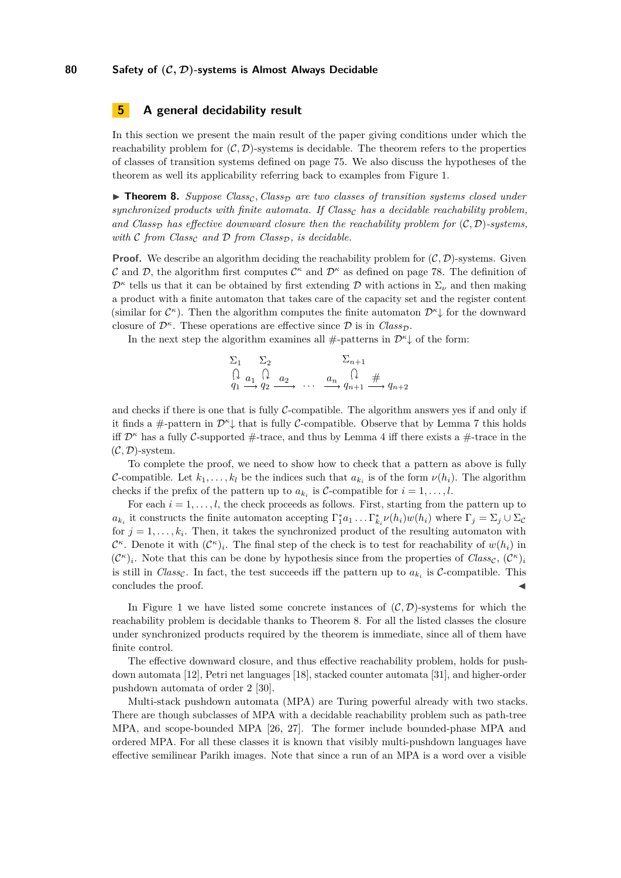## **5 A general decidability result**

In this section we present the main result of the paper giving conditions under which the reachability problem for  $(C, \mathcal{D})$ -systems is decidable. The theorem refers to the properties of classes of transition systems defined on page [75.](#page-3-0) We also discuss the hypotheses of the theorem as well its applicability referring back to examples from Figure [1.](#page-1-0)

<span id="page-8-0"></span>► **Theorem 8.** *Suppose Class<sub>C</sub>, Class<sub>D</sub> are two classes of transition systems closed under*  $synchronized products with finite automata.$  If  $Class<sub>c</sub> has a decidable reachability problem,$ and *Class<sub>D</sub>* has effective downward closure then the reachability problem for  $(C, D)$ *-systems*, *with*  $\mathcal{C}$  *from Class<sub>c</sub> and*  $\mathcal{D}$  *from Class<sub>D</sub>*, *is decidable.* 

**Proof.** We describe an algorithm deciding the reachability problem for  $(C, \mathcal{D})$ -systems. Given C and D, the algorithm first computes  $\mathcal{C}^{\kappa}$  and  $\mathcal{D}^{\kappa}$  as defined on page [78.](#page-5-1) The definition of  $\mathcal{D}^{\kappa}$  tells us that it can be obtained by first extending  $\mathcal{D}$  with actions in  $\Sigma_{\nu}$  and then making a product with a finite automaton that takes care of the capacity set and the register content (similar for  $\mathcal{C}^{\kappa}$ ). Then the algorithm computes the finite automaton  $\mathcal{D}^{\kappa} \downarrow$  for the downward closure of  $\mathcal{D}^{\kappa}$ . These operations are effective since  $\mathcal{D}$  is in *Class<sub>D</sub>*.

In the next step the algorithm examines all  $#$ -patterns in  $\mathcal{D}^{\kappa}$  of the form:

$$
\begin{array}{ccc}\n\Sigma_1 & \Sigma_2 & \Sigma_{n+1} \\
\bigcap & \Omega & \Omega \\
q_1 \xrightarrow{q_2} q_2 \xrightarrow{a_2} \cdots & \underbrace{a_n} & \underbrace{a_n}_{q_{n+1}} \xrightarrow{q_n} q_{n+2}\n\end{array}
$$

and checks if there is one that is fully  $\mathcal{C}$ -compatible. The algorithm answers yes if and only if it finds a #-pattern in  $\mathcal{D}^{\kappa}$  that is fully C-compatible. Observe that by Lemma [7](#page-7-2) this holds iff  $\mathcal{D}^{\kappa}$  has a fully C-supported #-trace, and thus by Lemma [4](#page-7-0) iff there exists a #-trace in the (C*,* D)-system.

To complete the proof, we need to show how to check that a pattern as above is fully C-compatible. Let  $k_1, \ldots, k_l$  be the indices such that  $a_{k_i}$  is of the form  $\nu(h_i)$ . The algorithm checks if the prefix of the pattern up to  $a_{k_i}$  is  $C$ -compatible for  $i = 1, \ldots, l$ .

For each  $i = 1, \ldots, l$ , the check proceeds as follows. First, starting from the pattern up to  $a_{k_i}$  it constructs the finite automaton accepting  $\Gamma_1^* a_1 \ldots \Gamma_{k_i}^* \nu(h_i) w(h_i)$  where  $\Gamma_j = \Sigma_j \cup \Sigma_c$ for  $j = 1, \ldots, k_i$ . Then, it takes the synchronized product of the resulting automaton with  $\mathcal{C}^{\kappa}$ . Denote it with  $(\mathcal{C}^{\kappa})_i$ . The final step of the check is to test for reachability of  $w(h_i)$  in  $(C^{\kappa})_i$ . Note that this can be done by hypothesis since from the properties of *Class<sub>C</sub>*,  $(C^{\kappa})_i$ is still in *Class<sub>c*</sub>. In fact, the test succeeds iff the pattern up to  $a_{k_i}$  is *C*-compatible. This concludes the proof.

In Figure [1](#page-1-0) we have listed some concrete instances of  $(C, D)$ -systems for which the reachability problem is decidable thanks to Theorem [8.](#page-8-0) For all the listed classes the closure under synchronized products required by the theorem is immediate, since all of them have finite control.

The effective downward closure, and thus effective reachability problem, holds for pushdown automata [\[12\]](#page-12-17), Petri net languages [\[18\]](#page-12-18), stacked counter automata [\[31\]](#page-12-19), and higher-order pushdown automata of order 2 [\[30\]](#page-12-20).

Multi-stack pushdown automata (MPA) are Turing powerful already with two stacks. There are though subclasses of MPA with a decidable reachability problem such as path-tree MPA, and scope-bounded MPA [\[26,](#page-12-21) [27\]](#page-12-22). The former include bounded-phase MPA and ordered MPA. For all these classes it is known that visibly multi-pushdown languages have effective semilinear Parikh images. Note that since a run of an MPA is a word over a visible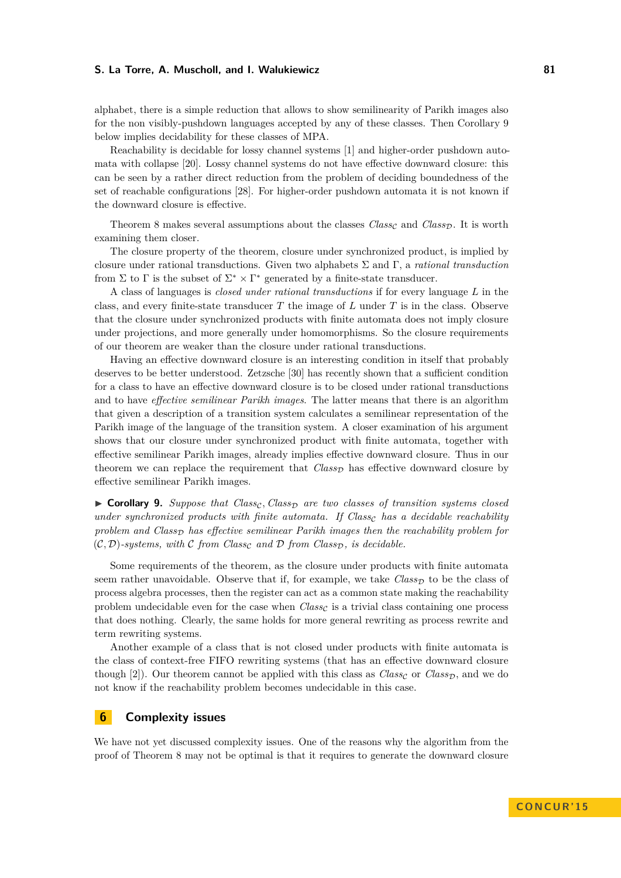alphabet, there is a simple reduction that allows to show semilinearity of Parikh images also for the non visibly-pushdown languages accepted by any of these classes. Then Corollary [9](#page-9-0) below implies decidability for these classes of MPA.

Reachability is decidable for lossy channel systems [\[1\]](#page-11-5) and higher-order pushdown automata with collapse [\[20\]](#page-12-23). Lossy channel systems do not have effective downward closure: this can be seen by a rather direct reduction from the problem of deciding boundedness of the set of reachable configurations [\[28\]](#page-12-24). For higher-order pushdown automata it is not known if the downward closure is effective.

Theorem [8](#page-8-0) makes several assumptions about the classes  $Class_{C}$  and  $Class_{D}$ . It is worth examining them closer.

The closure property of the theorem, closure under synchronized product, is implied by closure under rational transductions. Given two alphabets Σ and Γ, a *rational transduction* from  $\Sigma$  to  $\Gamma$  is the subset of  $\Sigma^* \times \Gamma^*$  generated by a finite-state transducer.

A class of languages is *closed under rational transductions* if for every language *L* in the class, and every finite-state transducer *T* the image of *L* under *T* is in the class. Observe that the closure under synchronized products with finite automata does not imply closure under projections, and more generally under homomorphisms. So the closure requirements of our theorem are weaker than the closure under rational transductions.

Having an effective downward closure is an interesting condition in itself that probably deserves to be better understood. Zetzsche [\[30\]](#page-12-20) has recently shown that a sufficient condition for a class to have an effective downward closure is to be closed under rational transductions and to have *effective semilinear Parikh images*. The latter means that there is an algorithm that given a description of a transition system calculates a semilinear representation of the Parikh image of the language of the transition system. A closer examination of his argument shows that our closure under synchronized product with finite automata, together with effective semilinear Parikh images, already implies effective downward closure. Thus in our theorem we can replace the requirement that  $Class_{\mathcal{D}}$  has effective downward closure by effective semilinear Parikh images.

<span id="page-9-0"></span> $\triangleright$  **Corollary 9.** *Suppose that Class<sub>C</sub>*, *Class<sub>D</sub>* are two classes of transition systems closed *under synchronized products with finite automata. If Class<sub>c</sub> has a decidable reachability* problem and Class<sub>D</sub> has effective semilinear Parikh images then the reachability problem for  $(C, D)$ -systems, with C from Class<sub>c</sub> and D from Class<sub>D</sub>, is decidable.

Some requirements of the theorem, as the closure under products with finite automata seem rather unavoidable. Observe that if, for example, we take  $Class_{\mathcal{D}}$  to be the class of process algebra processes, then the register can act as a common state making the reachability problem undecidable even for the case when  $Class_{\mathcal{C}}$  is a trivial class containing one process that does nothing. Clearly, the same holds for more general rewriting as process rewrite and term rewriting systems.

Another example of a class that is not closed under products with finite automata is the class of context-free FIFO rewriting systems (that has an effective downward closure though [\[2\]](#page-11-6)). Our theorem cannot be applied with this class as  $Class_C$  or  $Class_D$ , and we do not know if the reachability problem becomes undecidable in this case.

## **6 Complexity issues**

We have not yet discussed complexity issues. One of the reasons why the algorithm from the proof of Theorem [8](#page-8-0) may not be optimal is that it requires to generate the downward closure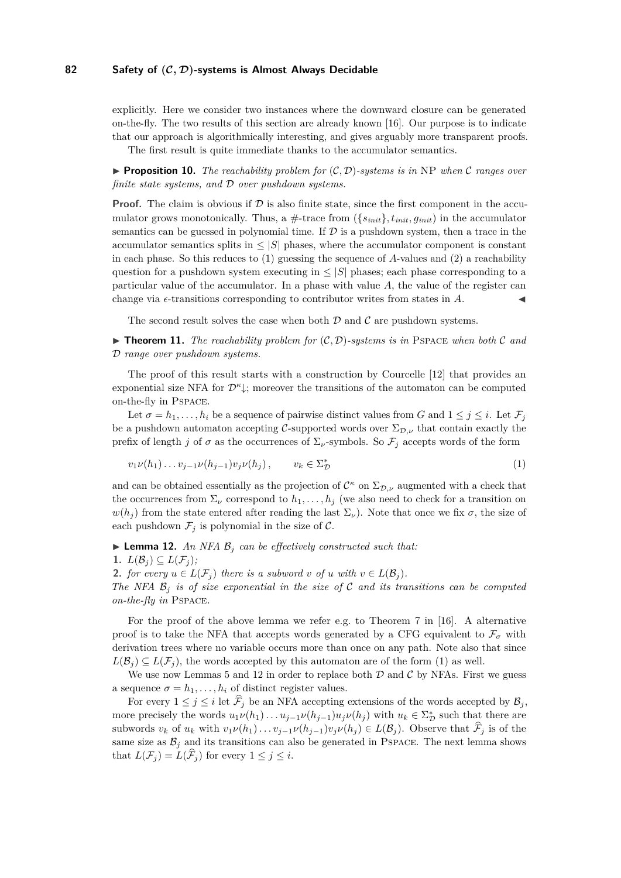## **82 Safety of (C***,* **D)-systems is Almost Always Decidable**

explicitly. Here we consider two instances where the downward closure can be generated on-the-fly. The two results of this section are already known [\[16\]](#page-12-4). Our purpose is to indicate that our approach is algorithmically interesting, and gives arguably more transparent proofs. The first result is quite immediate thanks to the accumulator semantics.

**Proposition 10.** The reachability problem for  $(C, D)$ -systems is in NP when C ranges over *finite state systems, and* D *over pushdown systems.*

**Proof.** The claim is obvious if  $D$  is also finite state, since the first component in the accumulator grows monotonically. Thus, a  $\#$ -trace from  $(\{s_{init}\}, t_{init}, g_{init})$  in the accumulator semantics can be guessed in polynomial time. If  $\mathcal D$  is a pushdown system, then a trace in the accumulator semantics splits in  $\leq |S|$  phases, where the accumulator component is constant in each phase. So this reduces to (1) guessing the sequence of *A*-values and (2) a reachability question for a pushdown system executing in  $\leq |S|$  phases; each phase corresponding to a particular value of the accumulator. In a phase with value *A*, the value of the register can change via  $\epsilon$ -transitions corresponding to contributor writes from states in  $A$ .

The second result solves the case when both  $D$  and  $C$  are pushdown systems.

<span id="page-10-2"></span> $\triangleright$  **Theorem 11.** The reachability problem for  $(C, D)$ -systems is in PSPACE when both C and D *range over pushdown systems.*

The proof of this result starts with a construction by Courcelle [\[12\]](#page-12-17) that provides an exponential size NFA for  $\mathcal{D}^{\kappa}$ <sub>↓</sub>; moreover the transitions of the automaton can be computed on-the-fly in Pspace.

Let  $\sigma = h_1, \ldots, h_i$  be a sequence of pairwise distinct values from *G* and  $1 \leq j \leq i$ . Let  $\mathcal{F}_j$ be a pushdown automaton accepting C-supported words over  $\Sigma_{\mathcal{D},\nu}$  that contain exactly the prefix of length *j* of  $\sigma$  as the occurrences of  $\Sigma_{\nu}$ -symbols. So  $\mathcal{F}_j$  accepts words of the form

<span id="page-10-0"></span>
$$
v_1 \nu(h_1) \dots v_{j-1} \nu(h_{j-1}) v_j \nu(h_j), \qquad v_k \in \Sigma^*_{\mathcal{D}} \tag{1}
$$

and can be obtained essentially as the projection of  $\mathcal{C}^{\kappa}$  on  $\Sigma_{\mathcal{D},\nu}$  augmented with a check that the occurrences from  $\Sigma_{\nu}$  correspond to  $h_1, \ldots, h_j$  (we also need to check for a transition on  $w(h_i)$  from the state entered after reading the last  $\Sigma_{\nu}$ ). Note that once we fix  $\sigma$ , the size of each pushdown  $\mathcal{F}_j$  is polynomial in the size of  $\mathcal{C}$ .

<span id="page-10-1"></span> $\blacktriangleright$  **Lemma 12.** An NFA  $\mathcal{B}_i$  can be effectively constructed such that:

1.  $L(\mathcal{B}_i) \subseteq L(\mathcal{F}_i)$ ;

2. *for every*  $u \in L(\mathcal{F}_i)$  *there is a subword v of u with*  $v \in L(\mathcal{B}_i)$ *.* 

*The NFA*  $\mathcal{B}_i$  *is of size exponential in the size of* C *and its transitions can be computed on-the-fly in* Pspace*.*

For the proof of the above lemma we refer e.g. to Theorem 7 in [\[16\]](#page-12-4). A alternative proof is to take the NFA that accepts words generated by a CFG equivalent to  $\mathcal{F}_{\sigma}$  with derivation trees where no variable occurs more than once on any path. Note also that since  $L(\mathcal{B}_i) \subseteq L(\mathcal{F}_i)$ , the words accepted by this automaton are of the form [\(1\)](#page-10-0) as well.

We use now Lemmas [5](#page-7-1) and [12](#page-10-1) in order to replace both  $D$  and  $C$  by NFAs. First we guess a sequence  $\sigma = h_1, \ldots, h_i$  of distinct register values.

For every  $1 \leq j \leq i$  let  $\widehat{\mathcal{F}}_j$  be an NFA accepting extensions of the words accepted by  $\mathcal{B}_j$ , more precisely the words  $u_1v(h_1)\ldots u_{j-1}v(h_{j-1})u_jv(h_j)$  with  $u_k \in \Sigma_D^*$  such that there are subwords  $v_k$  of  $u_k$  with  $v_1\nu(h_1)\dots v_{j-1}\nu(h_{j-1})v_j\nu(h_j) \in L(\mathcal{B}_j)$ . Observe that  $\mathcal{F}_j$  is of the same size as  $B_j$  and its transitions can also be generated in PSPACE. The next lemma shows that  $L(\mathcal{F}_i) = L(\mathcal{F}_i)$  for every  $1 \leq j \leq i$ .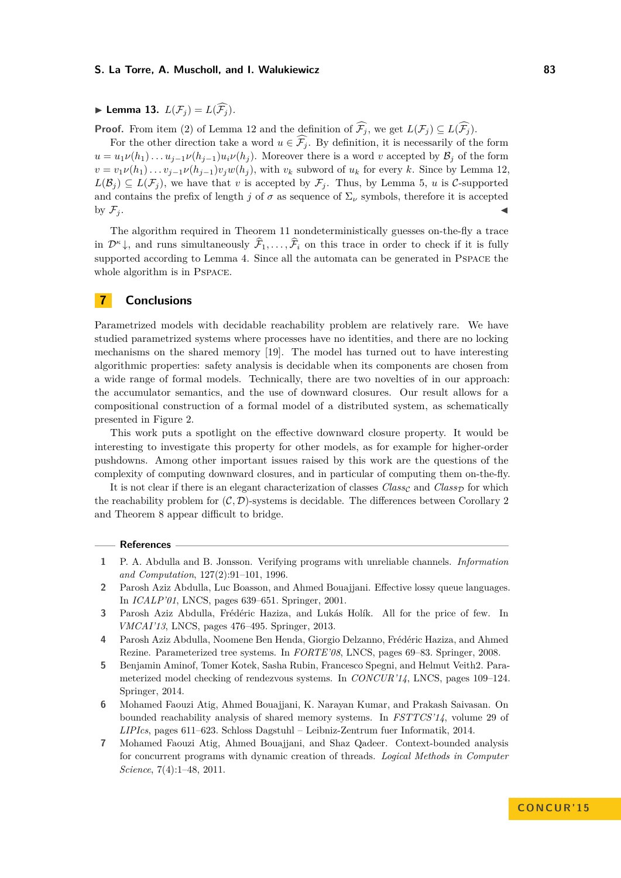$\blacktriangleright$  Lemma 13.  $L(\mathcal{F}_i) = L(\widehat{\mathcal{F}_i})$ .

**Proof.** From item (2) of Lemma [12](#page-10-1) and the definition of  $\widehat{\mathcal{F}}_j$ , we get  $L(\mathcal{F}_j) \subseteq L(\widehat{\mathcal{F}}_j)$ .

For the other direction take a word  $u \in \widehat{\mathcal{F}_j}$ . By definition, it is necessarily of the form  $u = u_1 \nu(h_1) \dots u_{j-1} \nu(h_{j-1}) u_i \nu(h_j)$ . Moreover there is a word *v* accepted by  $\mathcal{B}_j$  of the form  $v = v_1 \nu(h_1) \ldots v_{j-1} \nu(h_{j-1}) v_j w(h_j)$ , with  $v_k$  subword of  $u_k$  for every  $k$ . Since by Lemma [12,](#page-10-1)  $L(\mathcal{B}_j) \subseteq L(\mathcal{F}_j)$ , we have that *v* is accepted by  $\mathcal{F}_j$ . Thus, by Lemma [5,](#page-7-1) *u* is C-supported and contains the prefix of length *j* of  $\sigma$  as sequence of  $\Sigma_{\nu}$  symbols, therefore it is accepted by  $\mathcal{F}_j$ .

The algorithm required in Theorem [11](#page-10-2) nondeterministically guesses on-the-fly a trace in  $\mathcal{D}^{\kappa}$  , and runs simultaneously  $\widehat{\mathcal{F}}_1, \ldots, \widehat{\mathcal{F}}_i$  on this trace in order to check if it is fully supported according to Lemma [4.](#page-7-0) Since all the automata can be generated in Pspace the whole algorithm is in Pspace.

## **7 Conclusions**

Parametrized models with decidable reachability problem are relatively rare. We have studied parametrized systems where processes have no identities, and there are no locking mechanisms on the shared memory [\[19\]](#page-12-3). The model has turned out to have interesting algorithmic properties: safety analysis is decidable when its components are chosen from a wide range of formal models. Technically, there are two novelties of in our approach: the accumulator semantics, and the use of downward closures. Our result allows for a compositional construction of a formal model of a distributed system, as schematically presented in Figure [2.](#page-2-0)

This work puts a spotlight on the effective downward closure property. It would be interesting to investigate this property for other models, as for example for higher-order pushdowns. Among other important issues raised by this work are the questions of the complexity of computing downward closures, and in particular of computing them on-the-fly.

It is not clear if there is an elegant characterization of classes  $Class_{\mathcal{C}}$  and  $Class_{\mathcal{D}}$  for which the reachability problem for  $(C, \mathcal{D})$ -systems is decidable. The differences between Corollary [2](#page-5-0) and Theorem [8](#page-8-0) appear difficult to bridge.

#### **References**

- <span id="page-11-5"></span>**1** P. A. Abdulla and B. Jonsson. Verifying programs with unreliable channels. *Information and Computation*, 127(2):91–101, 1996.
- <span id="page-11-6"></span>**2** Parosh Aziz Abdulla, Luc Boasson, and Ahmed Bouajjani. Effective lossy queue languages. In *ICALP'01*, LNCS, pages 639–651. Springer, 2001.
- <span id="page-11-4"></span>**3** Parosh Aziz Abdulla, Frédéric Haziza, and Lukás Holík. All for the price of few. In *VMCAI'13*, LNCS, pages 476–495. Springer, 2013.
- <span id="page-11-3"></span>**4** Parosh Aziz Abdulla, Noomene Ben Henda, Giorgio Delzanno, Frédéric Haziza, and Ahmed Rezine. Parameterized tree systems. In *FORTE'08*, LNCS, pages 69–83. Springer, 2008.
- <span id="page-11-2"></span>**5** Benjamin Aminof, Tomer Kotek, Sasha Rubin, Francesco Spegni, and Helmut Veith2. Parameterized model checking of rendezvous systems. In *CONCUR'14*, LNCS, pages 109–124. Springer, 2014.
- <span id="page-11-1"></span>**6** Mohamed Faouzi Atig, Ahmed Bouajjani, K. Narayan Kumar, and Prakash Saivasan. On bounded reachability analysis of shared memory systems. In *FSTTCS'14*, volume 29 of *LIPIcs*, pages 611–623. Schloss Dagstuhl – Leibniz-Zentrum fuer Informatik, 2014.
- <span id="page-11-0"></span>**7** Mohamed Faouzi Atig, Ahmed Bouajjani, and Shaz Qadeer. Context-bounded analysis for concurrent programs with dynamic creation of threads. *Logical Methods in Computer Science*, 7(4):1–48, 2011.